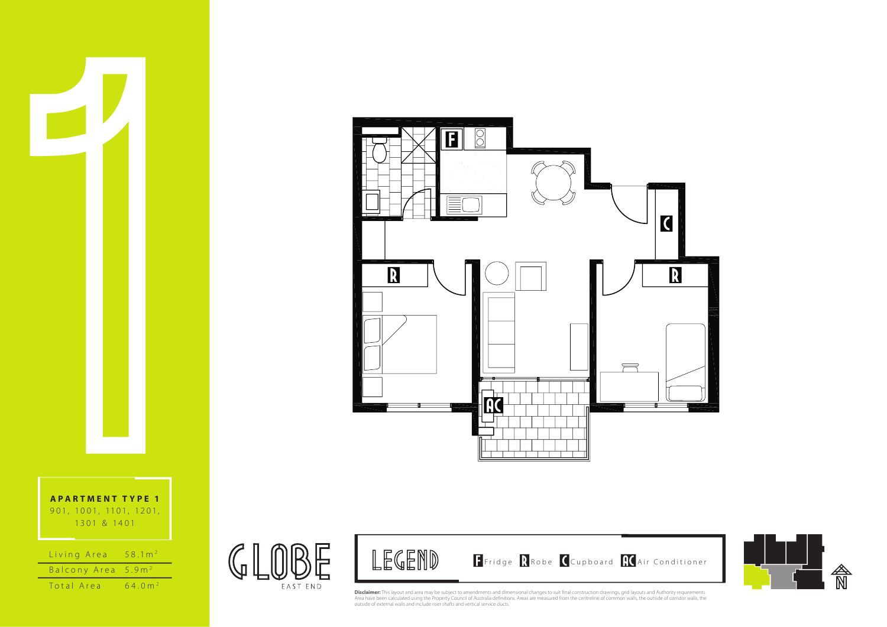



| Living Area                    | $58.1 \text{ m}^2$  |
|--------------------------------|---------------------|
| Balcony Area 5.9m <sup>2</sup> |                     |
| Total Area                     | 64 0 m <sup>2</sup> |



 $\mathbb{G}$ 



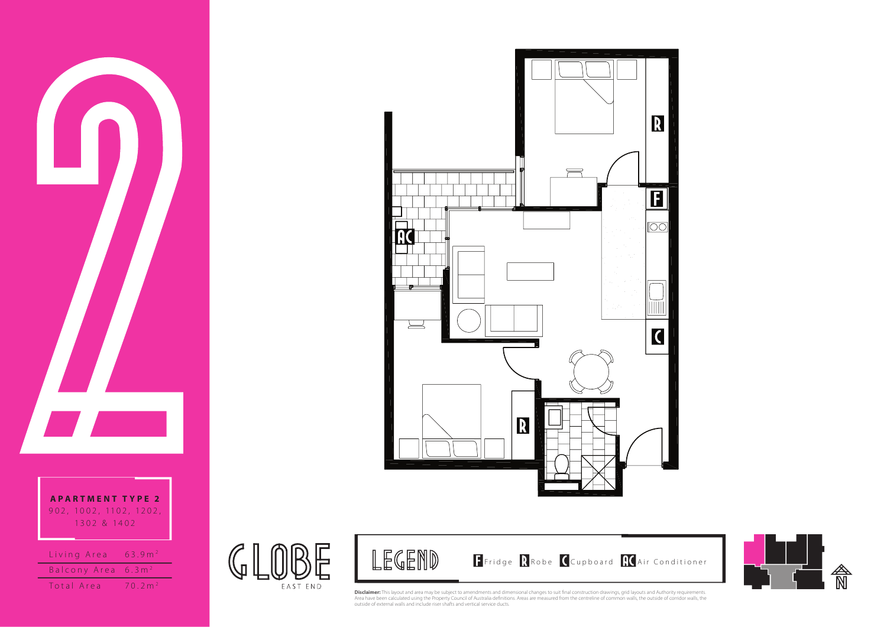**A P A RTMENT T YPE 2** 9 0 2 , 10 0 2 , 11 0 2 , 12 0 2 , 1302 & 1402

| Living Area           | 63.9 m <sup>2</sup> |
|-----------------------|---------------------|
| Balcony Area $6.3 m2$ |                     |
| Total Area            | 70.2 m <sup>2</sup> |

 $\mathbb{G}$ 

EAST END





**Disclaimer:** This layout and area may be subject to amendments and dimensional changes to suit final construction drawings, grid layouts and Authority requirements.<br>Area have been calculated using the Property Council of

LEGEND

Fridge RRobe Cupboard RCAir Conditioner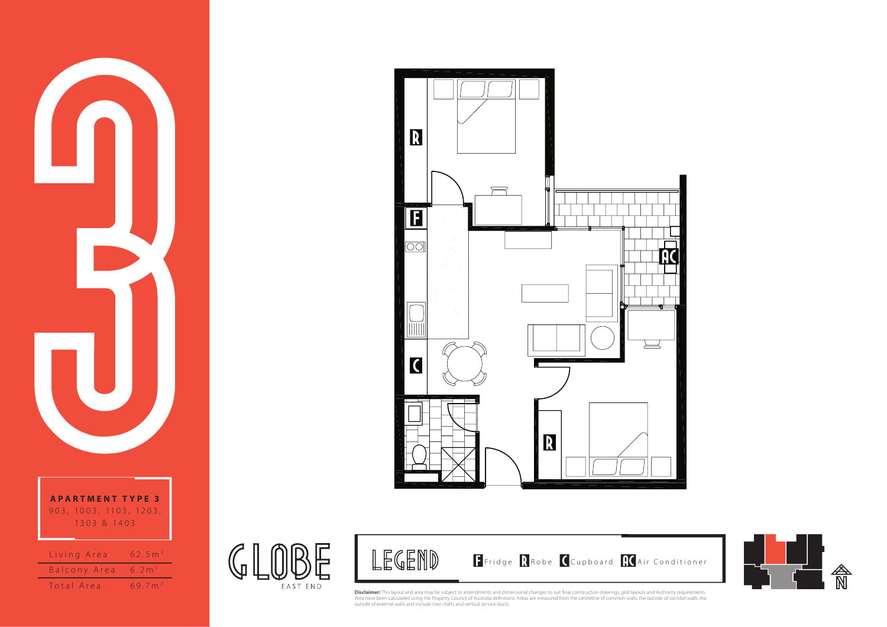

Total Area 69.7m<sup>2</sup>

 $\mathbb{G}$ 

EAST END





LEGEND

**Disclaimer:** This layout and area may be subject to amendments and dimensional changes to suit final construction drawings, grid layouts and Authority requirements.<br>Area have been calculated using the Property Council of

Fridge RRobe Cupboard RCAir Conditioner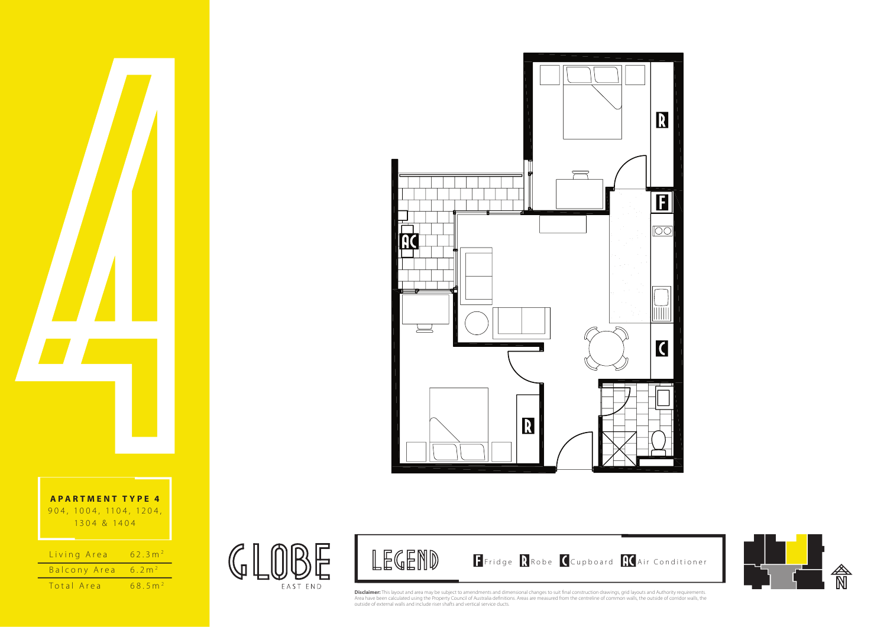

| Living Area  | 62.3 m <sup>2</sup>   |
|--------------|-----------------------|
| Balcony Area | 6.2 m <sup>2</sup>    |
| Total Area   | $68.5$ m <sup>2</sup> |





 $\mathbb{G}$ 

EAST END



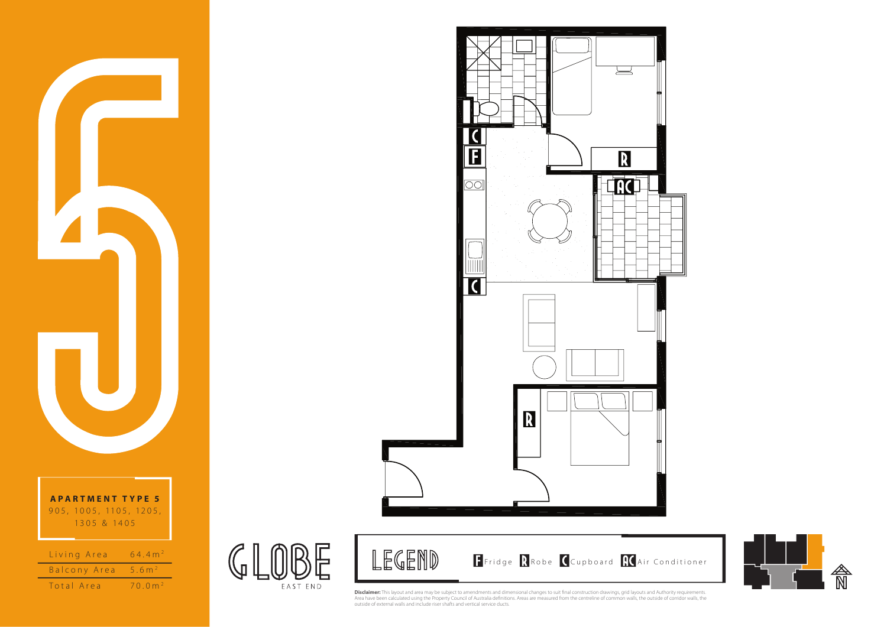





 $\mathbb{C}$